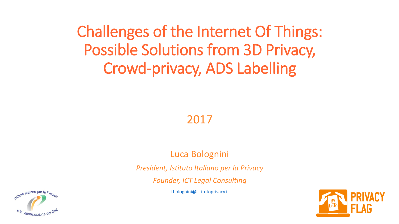Challenges of the Internet Of Things: Possible Solutions from 3D Privacy, Crowd-privacy, ADS Labelling

2017

Luca Bolognini

*President, Istituto Italiano per la Privacy*

*Founder, ICT Legal Consulting*

[l.bolognini@istitutoprivacy.it](mailto:scudiero@istitutoitalianoprivacy.it)



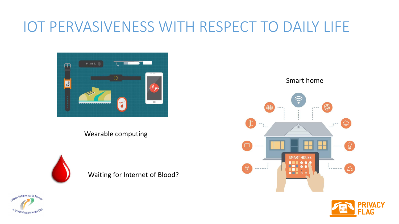#### IOT PERVASIVENESS WITH RESPECT TO DAILY LIFE



Wearable computing



Waiting for Internet of Blood?





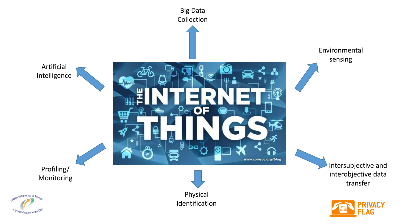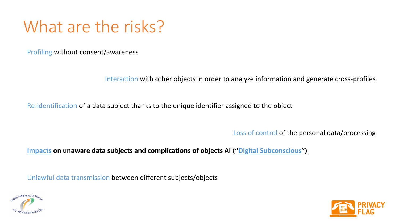#### What are the risks?

Profiling without consent/awareness

Interaction with other objects in order to analyze information and generate cross-profiles

Re-identification of a data subject thanks to the unique identifier assigned to the object

Loss of control of the personal data/processing

#### **Impacts on unaware data subjects and complications of objects AI ("Digital Subconscious")**

Unlawful data transmission between different subjects/objects



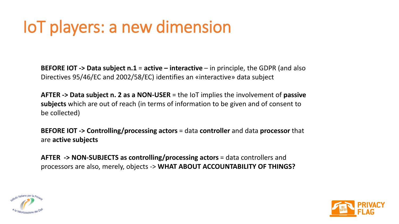#### IoT players: a new dimension

**BEFORE IOT -> Data subject n.1** = **active – interactive** – in principle, the GDPR (and also Directives 95/46/EC and 2002/58/EC) identifies an «interactive» data subject

**AFTER -> Data subject n. 2 as a NON-USER** = the IoT implies the involvement of **passive subjects** which are out of reach (in terms of information to be given and of consent to be collected)

**BEFORE IOT -> Controlling/processing actors** = data **controller** and data **processor** that are **active subjects**

**AFTER -> NON-SUBJECTS as controlling/processing actors** = data controllers and processors are also, merely, objects -> **WHAT ABOUT ACCOUNTABILITY OF THINGS?**



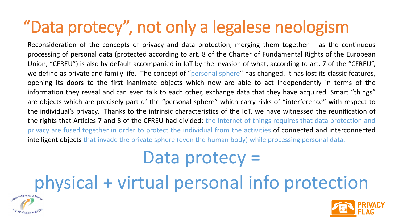#### "Data protecy", not only a legalese neologism

Reconsideration of the concepts of privacy and data protection, merging them together – as the continuous processing of personal data (protected according to art. 8 of the Charter of Fundamental Rights of the European Union, "CFREU") is also by default accompanied in IoT by the invasion of what, according to art. 7 of the "CFREU", we define as private and family life. The concept of "personal sphere" has changed. It has lost its classic features, opening its doors to the first inanimate objects which now are able to act independently in terms of the information they reveal and can even talk to each other, exchange data that they have acquired. Smart "things" are objects which are precisely part of the "personal sphere" which carry risks of "interference" with respect to the individual's privacy. Thanks to the intrinsic characteristics of the IoT, we have witnessed the reunification of the rights that Articles 7 and 8 of the CFREU had divided: the Internet of things requires that data protection and privacy are fused together in order to protect the individual from the activities of connected and interconnected intelligent objects that invade the private sphere (even the human body) while processing personal data.

## Data protecy =

# physical + virtual personal info protection



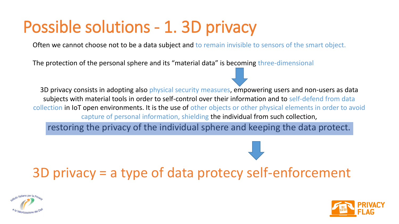#### Possible solutions - 1. 3D privacy

Often we cannot choose not to be a data subject and to remain invisible to sensors of the smart object.

The protection of the personal sphere and its "material data" is becoming three-dimensional

3D privacy consists in adopting also physical security measures, empowering users and non-users as data subjects with material tools in order to self-control over their information and to self-defend from data collection in IoT open environments. It is the use of other objects or other physical elements in order to avoid capture of personal information, shielding the individual from such collection,

restoring the privacy of the individual sphere and keeping the data protect.

3D privacy = a type of data protecy self-enforcement



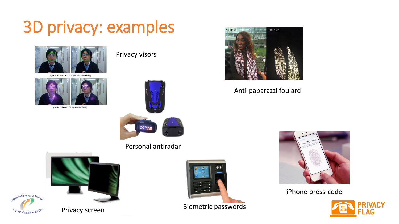#### 3D privacy: examples





(b) Near infrared LED lit (detection failed)





Personal antiradar





Privacy screen



Biometric passwords



#### Anti-paparazzi foulard



iPhone press-code

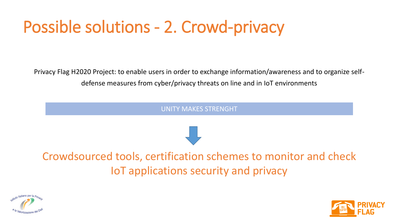### Possible solutions - 2. Crowd-privacy

Privacy Flag H2020 Project: to enable users in order to exchange information/awareness and to organize selfdefense measures from cyber/privacy threats on line and in IoT environments

UNITY MAKES STRENGHT

Crowdsourced tools, certification schemes to monitor and check IoT applications security and privacy



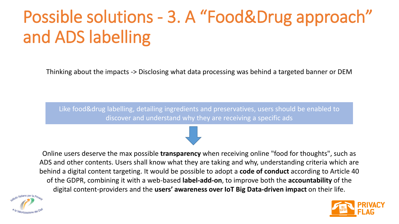# Possible solutions - 3. A "Food&Drug approach" and ADS labelling

Thinking about the impacts -> Disclosing what data processing was behind a targeted banner or DEM

Like food&drug labelling, detailing ingredients and preservatives, users should be enabled to discover and understand why they are receiving a specific ads

Online users deserve the max possible **transparency** when receiving online "food for thoughts", such as ADS and other contents. Users shall know what they are taking and why, understanding criteria which are behind a digital content targeting. It would be possible to adopt a **code of conduct** according to Article 40 of the GDPR, combining it with a web-based **label-add-on**, to improve both the **accountability** of the digital content-providers and the **users' awareness over IoT Big Data-driven impact** on their life.